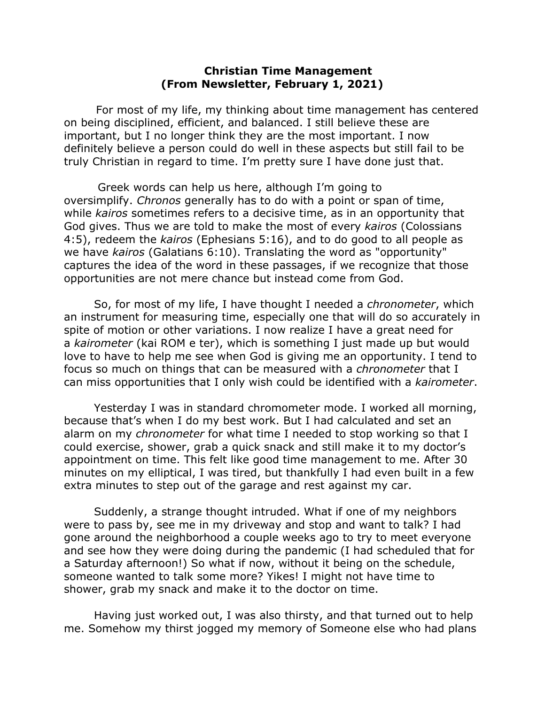## **Christian Time Management (From Newsletter, February 1, 2021)**

For most of my life, my thinking about time management has centered on being disciplined, efficient, and balanced. I still believe these are important, but I no longer think they are the most important. I now definitely believe a person could do well in these aspects but still fail to be truly Christian in regard to time. I'm pretty sure I have done just that.

 Greek words can help us here, although I'm going to oversimplify. *Chronos* generally has to do with a point or span of time, while *kairos* sometimes refers to a decisive time, as in an opportunity that God gives. Thus we are told to make the most of every *kairos* (Colossians 4:5), redeem the *kairos* (Ephesians 5:16), and to do good to all people as we have *kairos* (Galatians 6:10). Translating the word as "opportunity" captures the idea of the word in these passages, if we recognize that those opportunities are not mere chance but instead come from God.

So, for most of my life, I have thought I needed a *chronometer*, which an instrument for measuring time, especially one that will do so accurately in spite of motion or other variations. I now realize I have a great need for a *kairometer* (kai ROM e ter), which is something I just made up but would love to have to help me see when God is giving me an opportunity. I tend to focus so much on things that can be measured with a *chronometer* that I can miss opportunities that I only wish could be identified with a *kairometer*.

Yesterday I was in standard chromometer mode. I worked all morning, because that's when I do my best work. But I had calculated and set an alarm on my *chronometer* for what time I needed to stop working so that I could exercise, shower, grab a quick snack and still make it to my doctor's appointment on time. This felt like good time management to me. After 30 minutes on my elliptical, I was tired, but thankfully I had even built in a few extra minutes to step out of the garage and rest against my car.

Suddenly, a strange thought intruded. What if one of my neighbors were to pass by, see me in my driveway and stop and want to talk? I had gone around the neighborhood a couple weeks ago to try to meet everyone and see how they were doing during the pandemic (I had scheduled that for a Saturday afternoon!) So what if now, without it being on the schedule, someone wanted to talk some more? Yikes! I might not have time to shower, grab my snack and make it to the doctor on time.

Having just worked out, I was also thirsty, and that turned out to help me. Somehow my thirst jogged my memory of Someone else who had plans